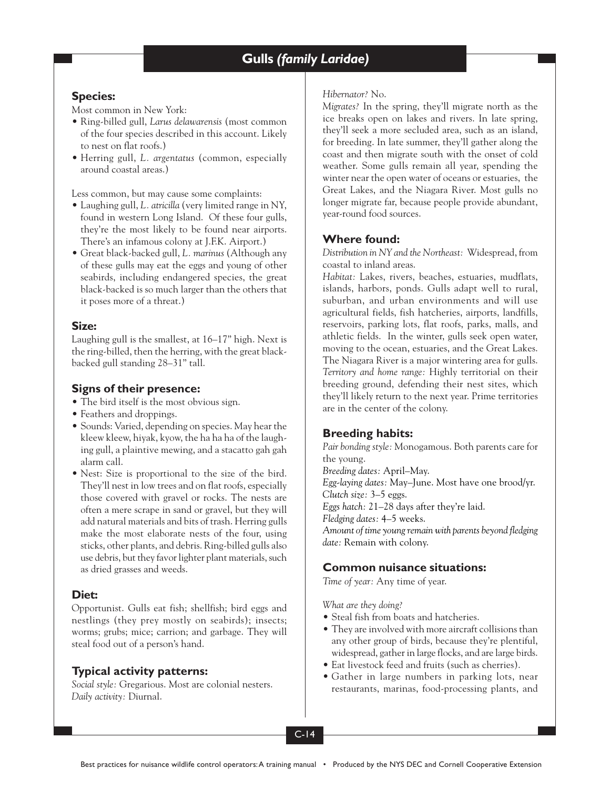## **Species:**

Most common in New York:

- Ring-billed gull, *Larus delawarensis* (most common of the four species described in this account. Likely to nest on flat roofs.)
- Herring gull, *L. argentatus* (common, especially around coastal areas.)

Less common, but may cause some complaints:

- Laughing gull, *L. atricilla* (very limited range in NY, found in western Long Island. Of these four gulls, they're the most likely to be found near airports. There's an infamous colony at J.F.K. Airport.)
- Great black-backed gull, *L. marinus* (Although any of these gulls may eat the eggs and young of other seabirds, including endangered species, the great black-backed is so much larger than the others that it poses more of a threat.)

# **Size:**

Laughing gull is the smallest, at 16–17" high. Next is the ring-billed, then the herring, with the great blackbacked gull standing 28–31" tall.

# **Signs of their presence:**

- The bird itself is the most obvious sign.
- Feathers and droppings.
- Sounds: Varied, depending on species. May hear the kleew kleew, hiyak, kyow, the ha ha ha of the laughing gull, a plaintive mewing, and a stacatto gah gah alarm call.
- Nest: Size is proportional to the size of the bird. They'll nest in low trees and on flat roofs, especially those covered with gravel or rocks. The nests are often a mere scrape in sand or gravel, but they will add natural materials and bits of trash. Herring gulls make the most elaborate nests of the four, using sticks, other plants, and debris. Ring-billed gulls also use debris, but they favor lighter plant materials, such as dried grasses and weeds.

# **Diet:**

Opportunist. Gulls eat fish; shellfish; bird eggs and nestlings (they prey mostly on seabirds); insects; worms; grubs; mice; carrion; and garbage. They will steal food out of a person's hand.

# **Typical activity patterns:**

*Social style:* Gregarious. Most are colonial nesters. *Daily activity:* Diurnal.

*Hibernator?* No.

*Migrates?* In the spring, they'll migrate north as the ice breaks open on lakes and rivers. In late spring, they'll seek a more secluded area, such as an island, for breeding. In late summer, they'll gather along the coast and then migrate south with the onset of cold weather. Some gulls remain all year, spending the winter near the open water of oceans or estuaries, the Great Lakes, and the Niagara River. Most gulls no longer migrate far, because people provide abundant, year-round food sources.

# **Where found:**

*Distribution in NY and the Northeast:* Widespread, from coastal to inland areas.

*Habitat:* Lakes, rivers, beaches, estuaries, mudflats, islands, harbors, ponds. Gulls adapt well to rural, suburban, and urban environments and will use agricultural fields, fish hatcheries, airports, landfills, reservoirs, parking lots, flat roofs, parks, malls, and athletic fields. In the winter, gulls seek open water, moving to the ocean, estuaries, and the Great Lakes. The Niagara River is a major wintering area for gulls. *Territory and home range:* Highly territorial on their breeding ground, defending their nest sites, which they'll likely return to the next year. Prime territories are in the center of the colony.

# **Breeding habits:**

*Pair bonding style:* Monogamous. Both parents care for the young. *Breeding dates:* April–May. *Egg-laying dates:* May–June. Most have one brood/yr. *Clutch size:* 3–5 eggs. *Eggs hatch:* 21–28 days after they're laid. *Fledging dates:* 4–5 weeks. *Amount of time young remain with parents beyond fledging date:* Remain with colony.

## **Common nuisance situations:**

*Time of year:* Any time of year.

*What are they doing?*

- Steal fish from boats and hatcheries.
- They are involved with more aircraft collisions than any other group of birds, because they're plentiful, widespread, gather in large flocks, and are large birds.
- Eat livestock feed and fruits (such as cherries).
- Gather in large numbers in parking lots, near restaurants, marinas, food-processing plants, and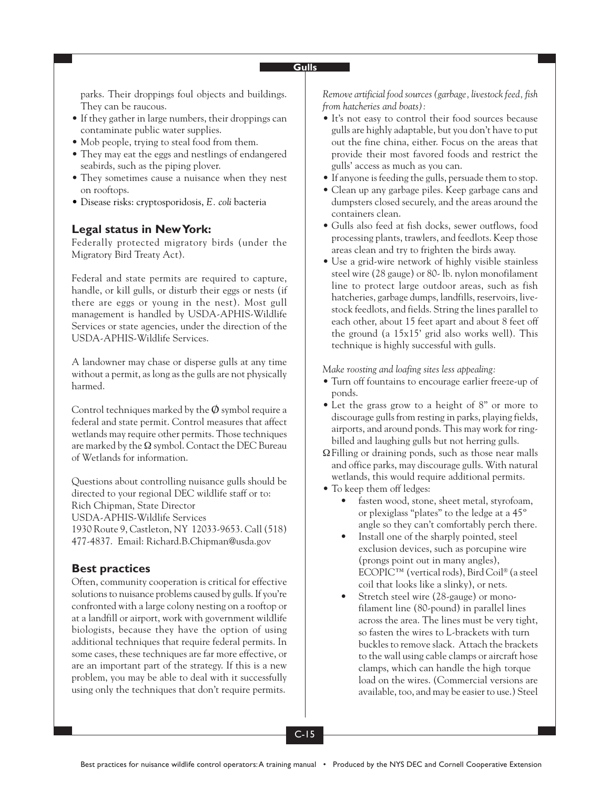**Gulls**

parks. Their droppings foul objects and buildings. They can be raucous.

- If they gather in large numbers, their droppings can contaminate public water supplies.
- Mob people, trying to steal food from them.
- They may eat the eggs and nestlings of endangered seabirds, such as the piping plover.
- They sometimes cause a nuisance when they nest on rooftops.
- Disease risks: cryptosporidosis, *E. coli* bacteria

### **Legal status in New York:**

Federally protected migratory birds (under the Migratory Bird Treaty Act).

Federal and state permits are required to capture, handle, or kill gulls, or disturb their eggs or nests (if there are eggs or young in the nest). Most gull management is handled by USDA-APHIS-Wildlife Services or state agencies, under the direction of the USDA-APHIS-Wildlife Services.

A landowner may chase or disperse gulls at any time without a permit, as long as the gulls are not physically harmed.

Control techniques marked by the  $\emptyset$  symbol require a federal and state permit. Control measures that affect wetlands may require other permits. Those techniques are marked by the  $\Omega$  symbol. Contact the DEC Bureau of Wetlands for information.

Questions about controlling nuisance gulls should be directed to your regional DEC wildlife staff or to: Rich Chipman, State Director USDA-APHIS-Wildlife Services 1930 Route 9, Castleton, NY 12033-9653. Call (518) 477-4837. Email: Richard.B.Chipman@usda.gov

## **Best practices**

Often, community cooperation is critical for effective solutions to nuisance problems caused by gulls. If you're confronted with a large colony nesting on a rooftop or at a landfill or airport, work with government wildlife biologists, because they have the option of using additional techniques that require federal permits. In some cases, these techniques are far more effective, or are an important part of the strategy. If this is a new problem, you may be able to deal with it successfully using only the techniques that don't require permits.

*Remove artificial food sources (garbage, livestock feed, fish from hatcheries and boats):*

- It's not easy to control their food sources because gulls are highly adaptable, but you don't have to put out the fine china, either. Focus on the areas that provide their most favored foods and restrict the gulls' access as much as you can.
- If anyone is feeding the gulls, persuade them to stop.
- Clean up any garbage piles. Keep garbage cans and dumpsters closed securely, and the areas around the containers clean.
- Gulls also feed at fish docks, sewer outflows, food processing plants, trawlers, and feedlots. Keep those areas clean and try to frighten the birds away.
- Use a grid-wire network of highly visible stainless steel wire (28 gauge) or 80- lb. nylon monofilament line to protect large outdoor areas, such as fish hatcheries, garbage dumps, landfills, reservoirs, livestock feedlots, and fields. String the lines parallel to each other, about 15 feet apart and about 8 feet off the ground (a 15x15' grid also works well). This technique is highly successful with gulls.

*Make roosting and loafing sites less appealing:*

- Turn off fountains to encourage earlier freeze-up of ponds.
- Let the grass grow to a height of 8" or more to discourage gulls from resting in parks, playing fields, airports, and around ponds. This may work for ringbilled and laughing gulls but not herring gulls.
- ΩFilling or draining ponds, such as those near malls and office parks, may discourage gulls. With natural wetlands, this would require additional permits.
- To keep them off ledges:
	- fasten wood, stone, sheet metal, styrofoam, or plexiglass "plates" to the ledge at a 45º angle so they can't comfortably perch there.
	- Install one of the sharply pointed, steel exclusion devices, such as porcupine wire (prongs point out in many angles), ECOPIC™ (vertical rods), Bird Coil® (a steel coil that looks like a slinky), or nets.
	- Stretch steel wire (28-gauge) or monofilament line (80-pound) in parallel lines across the area. The lines must be very tight, so fasten the wires to L-brackets with turn buckles to remove slack. Attach the brackets to the wall using cable clamps or aircraft hose clamps, which can handle the high torque load on the wires. (Commercial versions are available, too, and may be easier to use.) Steel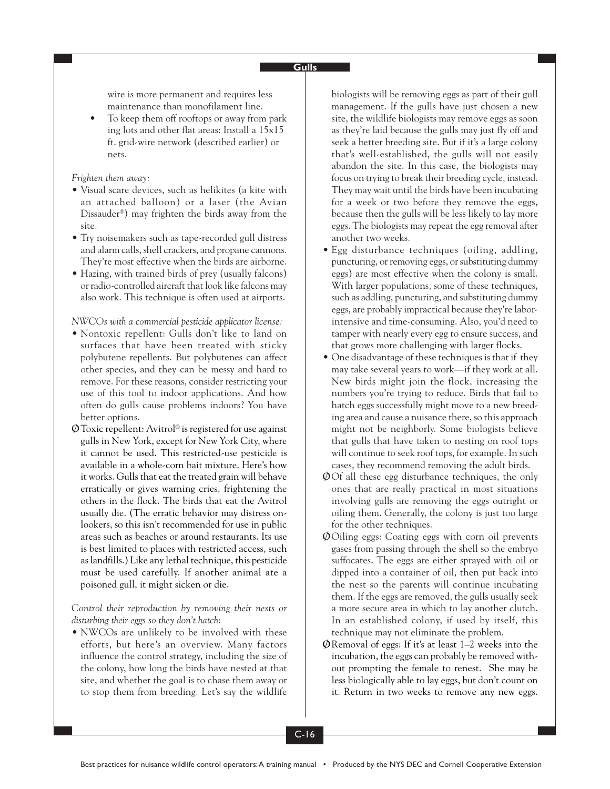#### **Gulls**

wire is more permanent and requires less maintenance than monofilament line.

• To keep them off rooftops or away from park ing lots and other flat areas: Install a 15x15 ft. grid-wire network (described earlier) or nets.

#### *Frighten them away:*

- Visual scare devices, such as helikites (a kite with an attached balloon) or a laser (the Avian Dissauder®) may frighten the birds away from the site.
- Try noisemakers such as tape-recorded gull distress and alarm calls, shell crackers, and propane cannons. They're most effective when the birds are airborne.
- Hazing, with trained birds of prey (usually falcons) or radio-controlled aircraft that look like falcons may also work. This technique is often used at airports.

*NWCOs with a commercial pesticide applicator license:*

- Nontoxic repellent: Gulls don't like to land on surfaces that have been treated with sticky polybutene repellents. But polybutenes can affect other species, and they can be messy and hard to remove. For these reasons, consider restricting your use of this tool to indoor applications. And how often do gulls cause problems indoors? You have better options.
- **Ø**Toxic repellent: Avitrol® is registered for use against gulls in New York, except for New York City, where it cannot be used. This restricted-use pesticide is available in a whole-corn bait mixture. Here's how it works. Gulls that eat the treated grain will behave erratically or gives warning cries, frightening the others in the flock. The birds that eat the Avitrol usually die. (The erratic behavior may distress onlookers, so this isn't recommended for use in public areas such as beaches or around restaurants. Its use is best limited to places with restricted access, such as landfills.) Like any lethal technique, this pesticide must be used carefully. If another animal ate a poisoned gull, it might sicken or die.

*Control their reproduction by removing their nests or disturbing their eggs so they don't hatch*:

• NWCOs are unlikely to be involved with these efforts, but here's an overview. Many factors influence the control strategy, including the size of the colony, how long the birds have nested at that site, and whether the goal is to chase them away or to stop them from breeding. Let's say the wildlife biologists will be removing eggs as part of their gull management. If the gulls have just chosen a new site, the wildlife biologists may remove eggs as soon as they're laid because the gulls may just fly off and seek a better breeding site. But if it's a large colony that's well-established, the gulls will not easily abandon the site. In this case, the biologists may focus on trying to break their breeding cycle, instead. They may wait until the birds have been incubating for a week or two before they remove the eggs, because then the gulls will be less likely to lay more eggs. The biologists may repeat the egg removal after another two weeks.

- Egg disturbance techniques (oiling, addling, puncturing, or removing eggs, or substituting dummy eggs) are most effective when the colony is small. With larger populations, some of these techniques, such as addling, puncturing, and substituting dummy eggs, are probably impractical because they're laborintensive and time-consuming. Also, you'd need to tamper with nearly every egg to ensure success, and that grows more challenging with larger flocks.
- One disadvantage of these techniques is that if they may take several years to work—if they work at all. New birds might join the flock, increasing the numbers you're trying to reduce. Birds that fail to hatch eggs successfully might move to a new breeding area and cause a nuisance there, so this approach might not be neighborly. Some biologists believe that gulls that have taken to nesting on roof tops will continue to seek roof tops, for example. In such cases, they recommend removing the adult birds.
- **Ø**Of all these egg disturbance techniques, the only ones that are really practical in most situations involving gulls are removing the eggs outright or oiling them. Generally, the colony is just too large for the other techniques.
- **Ø**Oiling eggs: Coating eggs with corn oil prevents gases from passing through the shell so the embryo suffocates. The eggs are either sprayed with oil or dipped into a container of oil, then put back into the nest so the parents will continue incubating them. If the eggs are removed, the gulls usually seek a more secure area in which to lay another clutch. In an established colony, if used by itself, this technique may not eliminate the problem.
- **Ø**Removal of eggs: If it's at least 1–2 weeks into the incubation, the eggs can probably be removed without prompting the female to renest. She may be less biologically able to lay eggs, but don't count on it. Return in two weeks to remove any new eggs.